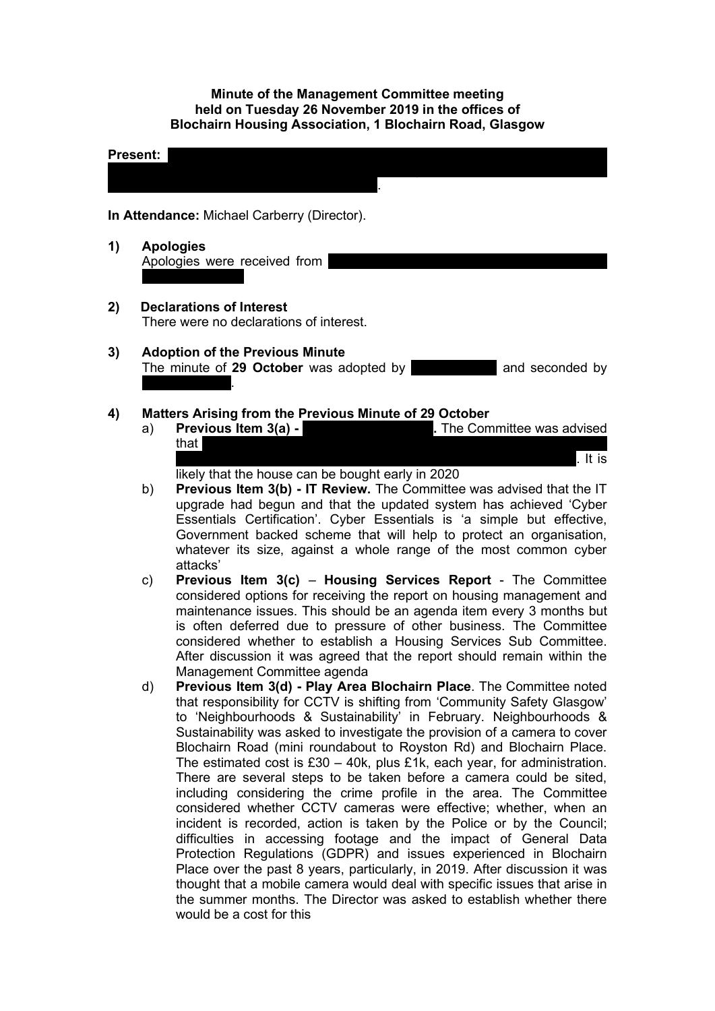#### **Minute of the Management Committee meeting held on Tuesday 26 November 2019 in the offices of Blochairn Housing Association, 1 Blochairn Road, Glasgow**

# **Present:** Lazarous Chisela; Denise Doherty; Andy Duffus; Manal Eshelli; Sakina; Sakina; Sakina; Sakina; Sakina; Sakina; Sakina; Sakina; Sakina; Sakina; Sakina; Sakina; Sakina; Sakina; Sakina; Sakina; Sakina; Sakina; Sakin Masih; Rose McLeish; Lynsey Morgan (Chairperson); Catherine Neil; Joan Reuston; Frances Tierney; Olga Vassiljeva; Ewa Wojcik. **In Attendance:** Michael Carberry (Director). **1) Apologies** Apologies were received from **2) Declarations of Interest** There were no declarations of interest. **3) Adoption of the Previous Minute**  The minute of 29 October was adopted by **Manufall and seconded by Rose McLeish**. **4) Matters Arising from the Previous Minute of 29 October**

- a) **Previous Item 3(a) <b>28 Cunomittee Was advised** by The Committee was advised that the owner had been successful in court and the previous owner had been successful in  $\mathbb{R}^n$ between instructed to release funds held. The court decree is awaited. It is
	- likely that the house can be bought early in 2020
- b) **Previous Item 3(b) - IT Review.** The Committee was advised that the IT upgrade had begun and that the updated system has achieved 'Cyber Essentials Certification'. Cyber Essentials is 'a simple but effective, Government backed scheme that will help to protect an organisation, whatever its size, against a whole range of the most common cyber attacks'
- c) **Previous Item 3(c) Housing Services Report** The Committee considered options for receiving the report on housing management and maintenance issues. This should be an agenda item every 3 months but is often deferred due to pressure of other business. The Committee considered whether to establish a Housing Services Sub Committee. After discussion it was agreed that the report should remain within the Management Committee agenda
- d) **Previous Item 3(d) - Play Area Blochairn Place**. The Committee noted that responsibility for CCTV is shifting from 'Community Safety Glasgow' to 'Neighbourhoods & Sustainability' in February. Neighbourhoods & Sustainability was asked to investigate the provision of a camera to cover Blochairn Road (mini roundabout to Royston Rd) and Blochairn Place. The estimated cost is  $£30 - 40k$ , plus  $£1k$ , each year, for administration. There are several steps to be taken before a camera could be sited, including considering the crime profile in the area. The Committee considered whether CCTV cameras were effective; whether, when an incident is recorded, action is taken by the Police or by the Council; difficulties in accessing footage and the impact of General Data Protection Regulations (GDPR) and issues experienced in Blochairn Place over the past 8 years, particularly, in 2019. After discussion it was thought that a mobile camera would deal with specific issues that arise in the summer months. The Director was asked to establish whether there would be a cost for this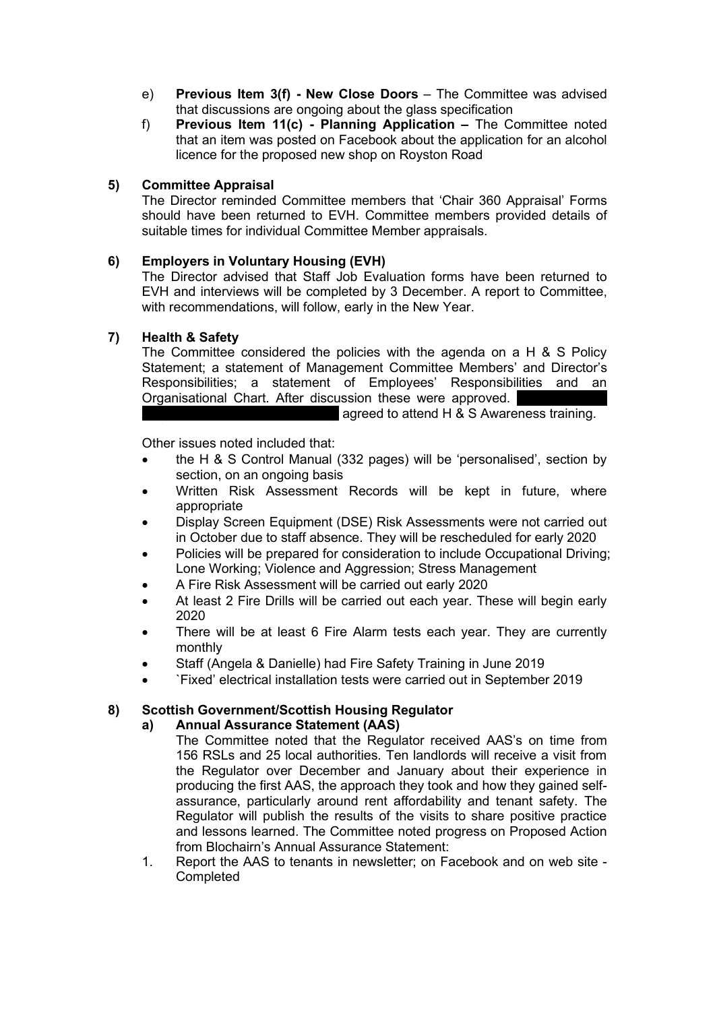- e) **Previous Item 3(f) - New Close Doors** The Committee was advised that discussions are ongoing about the glass specification
- f) **Previous Item 11(c) - Planning Application –** The Committee noted that an item was posted on Facebook about the application for an alcohol licence for the proposed new shop on Royston Road

# **5) Committee Appraisal**

The Director reminded Committee members that 'Chair 360 Appraisal' Forms should have been returned to EVH. Committee members provided details of suitable times for individual Committee Member appraisals.

# **6) Employers in Voluntary Housing (EVH)**

The Director advised that Staff Job Evaluation forms have been returned to EVH and interviews will be completed by 3 December. A report to Committee, with recommendations, will follow, early in the New Year.

# **7) Health & Safety**

The Committee considered the policies with the agenda on a H & S Policy Statement; a statement of Management Committee Members' and Director's Responsibilities; a statement of Employees' Responsibilities and an Organisational Chart. After discussion these were approved.

agreed to attend H  $&$  S Awareness training.

Other issues noted included that:

- the H & S Control Manual (332 pages) will be 'personalised', section by section, on an ongoing basis
- Written Risk Assessment Records will be kept in future, where appropriate
- Display Screen Equipment (DSE) Risk Assessments were not carried out in October due to staff absence. They will be rescheduled for early 2020
- Policies will be prepared for consideration to include Occupational Driving; Lone Working; Violence and Aggression; Stress Management
- A Fire Risk Assessment will be carried out early 2020
- At least 2 Fire Drills will be carried out each year. These will begin early 2020
- There will be at least 6 Fire Alarm tests each year. They are currently monthly
- Staff (Angela & Danielle) had Fire Safety Training in June 2019
- `Fixed' electrical installation tests were carried out in September 2019

# **8) Scottish Government/Scottish Housing Regulator**

# **a) Annual Assurance Statement (AAS)**

The Committee noted that the Regulator received AAS's on time from 156 RSLs and 25 local authorities. Ten landlords will receive a visit from the Regulator over December and January about their experience in producing the first AAS, the approach they took and how they gained selfassurance, particularly around rent affordability and tenant safety. The Regulator will publish the results of the visits to share positive practice and lessons learned. The Committee noted progress on Proposed Action from Blochairn's Annual Assurance Statement:

1. Report the AAS to tenants in newsletter; on Facebook and on web site - Completed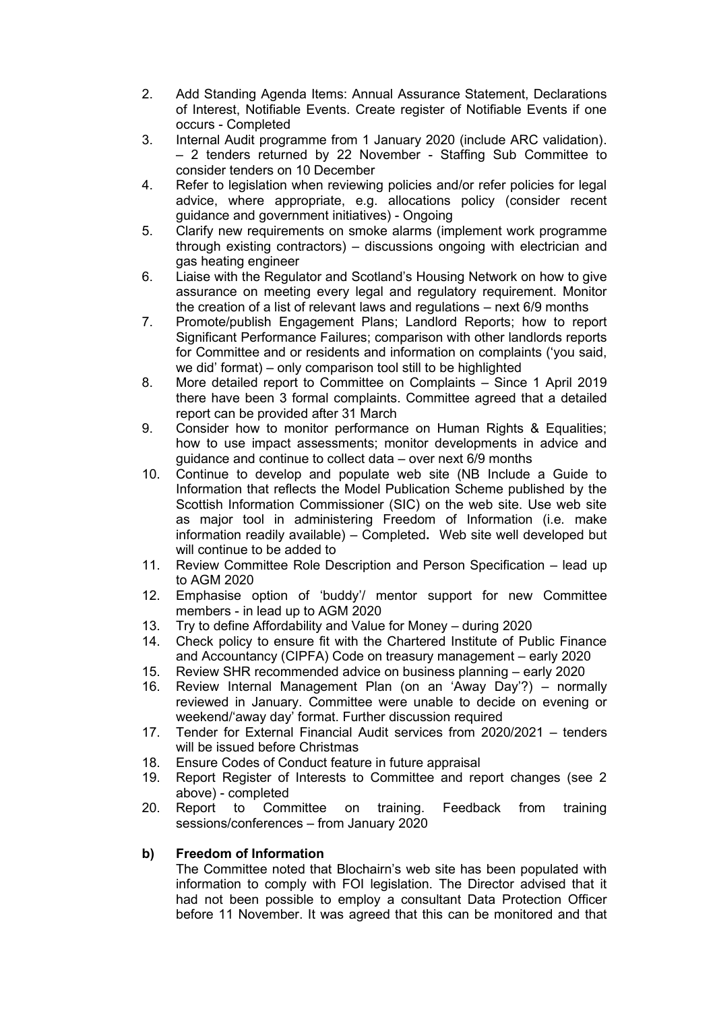- 2. Add Standing Agenda Items: Annual Assurance Statement, Declarations of Interest, Notifiable Events. Create register of Notifiable Events if one occurs - Completed
- 3. Internal Audit programme from 1 January 2020 (include ARC validation). – 2 tenders returned by 22 November - Staffing Sub Committee to consider tenders on 10 December
- 4. Refer to legislation when reviewing policies and/or refer policies for legal advice, where appropriate, e.g. allocations policy (consider recent guidance and government initiatives) - Ongoing
- 5. Clarify new requirements on smoke alarms (implement work programme through existing contractors) – discussions ongoing with electrician and gas heating engineer
- 6. Liaise with the Regulator and Scotland's Housing Network on how to give assurance on meeting every legal and regulatory requirement. Monitor the creation of a list of relevant laws and regulations – next 6/9 months
- 7. Promote/publish Engagement Plans; Landlord Reports; how to report Significant Performance Failures; comparison with other landlords reports for Committee and or residents and information on complaints ('you said, we did' format) – only comparison tool still to be highlighted
- 8. More detailed report to Committee on Complaints Since 1 April 2019 there have been 3 formal complaints. Committee agreed that a detailed report can be provided after 31 March
- 9. Consider how to monitor performance on Human Rights & Equalities; how to use impact assessments; monitor developments in advice and guidance and continue to collect data – over next 6/9 months
- 10. Continue to develop and populate web site (NB Include a Guide to Information that reflects the Model Publication Scheme published by the Scottish Information Commissioner (SIC) on the web site. Use web site as major tool in administering Freedom of Information (i.e. make information readily available) – Completed**.** Web site well developed but will continue to be added to
- 11. Review Committee Role Description and Person Specification lead up to AGM 2020
- 12. Emphasise option of 'buddy'/ mentor support for new Committee members - in lead up to AGM 2020
- 13. Try to define Affordability and Value for Money during 2020
- 14. Check policy to ensure fit with the Chartered Institute of Public Finance and Accountancy (CIPFA) Code on treasury management – early 2020
- 15. Review SHR recommended advice on business planning early 2020
- 16. Review Internal Management Plan (on an 'Away Day'?) normally reviewed in January. Committee were unable to decide on evening or weekend/'away day' format. Further discussion required
- 17. Tender for External Financial Audit services from 2020/2021 tenders will be issued before Christmas
- 18. Ensure Codes of Conduct feature in future appraisal
- 19. Report Register of Interests to Committee and report changes (see 2 above) - completed
- 20. Report to Committee on training. Feedback from training sessions/conferences – from January 2020

# **b) Freedom of Information**

The Committee noted that Blochairn's web site has been populated with information to comply with FOI legislation. The Director advised that it had not been possible to employ a consultant Data Protection Officer before 11 November. It was agreed that this can be monitored and that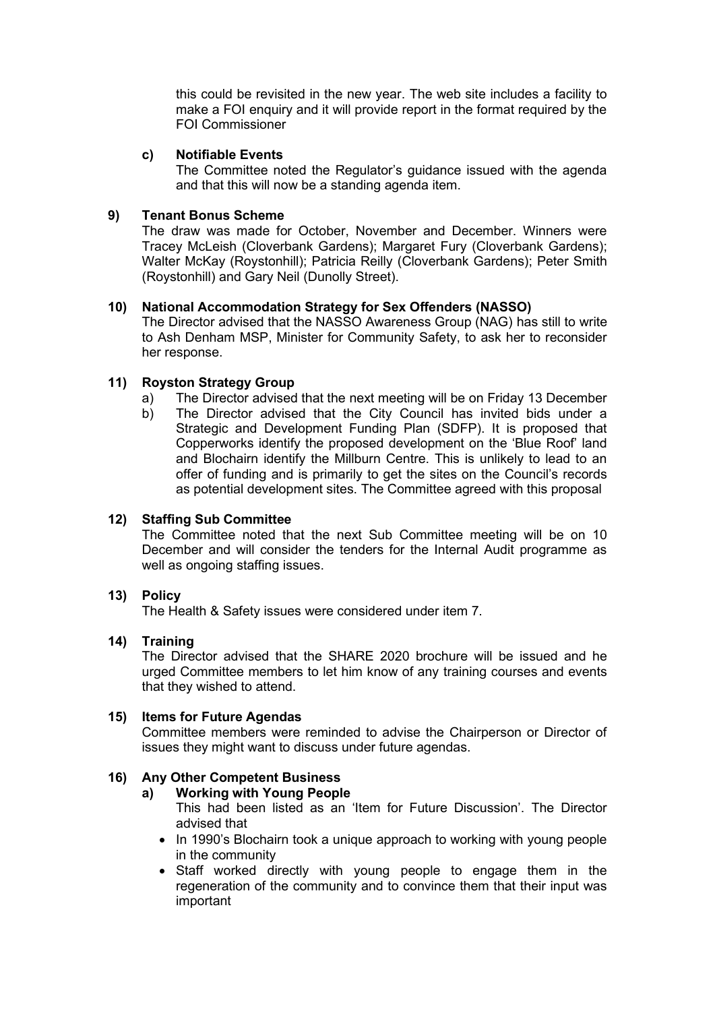this could be revisited in the new year. The web site includes a facility to make a FOI enquiry and it will provide report in the format required by the FOI Commissioner

## **c) Notifiable Events**

The Committee noted the Regulator's guidance issued with the agenda and that this will now be a standing agenda item.

## **9) Tenant Bonus Scheme**

The draw was made for October, November and December. Winners were Tracey McLeish (Cloverbank Gardens); Margaret Fury (Cloverbank Gardens); Walter McKay (Roystonhill); Patricia Reilly (Cloverbank Gardens); Peter Smith (Roystonhill) and Gary Neil (Dunolly Street).

#### **10) National Accommodation Strategy for Sex Offenders (NASSO)**

The Director advised that the NASSO Awareness Group (NAG) has still to write to Ash Denham MSP, Minister for Community Safety, to ask her to reconsider her response.

#### **11) Royston Strategy Group**

- a) The Director advised that the next meeting will be on Friday 13 December
- b) The Director advised that the City Council has invited bids under a Strategic and Development Funding Plan (SDFP). It is proposed that Copperworks identify the proposed development on the 'Blue Roof' land and Blochairn identify the Millburn Centre. This is unlikely to lead to an offer of funding and is primarily to get the sites on the Council's records as potential development sites. The Committee agreed with this proposal

# **12) Staffing Sub Committee**

The Committee noted that the next Sub Committee meeting will be on 10 December and will consider the tenders for the Internal Audit programme as well as ongoing staffing issues.

#### **13) Policy**

The Health & Safety issues were considered under item 7.

#### **14) Training**

The Director advised that the SHARE 2020 brochure will be issued and he urged Committee members to let him know of any training courses and events that they wished to attend.

#### **15) Items for Future Agendas**

Committee members were reminded to advise the Chairperson or Director of issues they might want to discuss under future agendas.

# **16) Any Other Competent Business**

#### **a) Working with Young People**

This had been listed as an 'Item for Future Discussion'. The Director advised that

- In 1990's Blochairn took a unique approach to working with young people in the community
- Staff worked directly with young people to engage them in the regeneration of the community and to convince them that their input was important